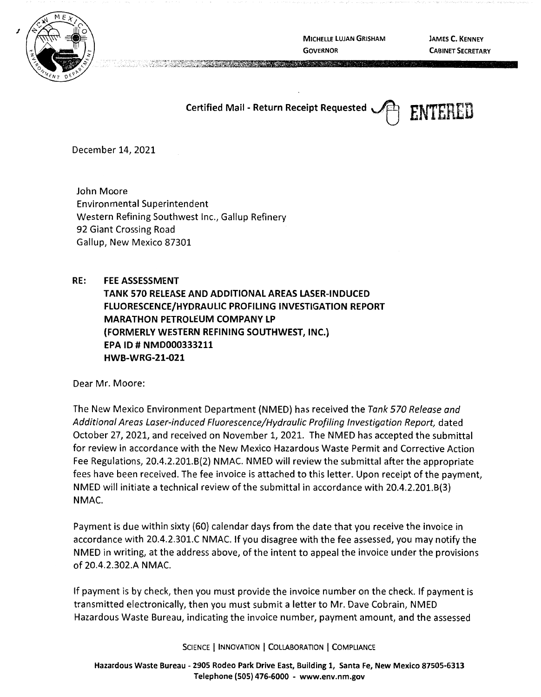

**MICHELLE LUJAN GRISHAM GOVERNOR** 

**JAMES C. KENNEY CABINET SECRETARY** 

**Certified Mail** - **Return Receipt Requested** ~ **ENTERED** 



December 14, 2021

John Moore Environmental Superintendent Western Refining Southwest Inc., Gallup Refinery 92 Giant Crossing Road Gallup, New Mexico 87301

## **RE: FEE ASSESSMENT**

**TANK 570 RELEASE AND ADDITIONAL AREAS LASER-INDUCED FLUORESCENCE/HYDRAULIC PROFILING INVESTIGATION REPORT MARATHON PETROLEUM COMPANY LP (FORMERLY WESTERN REFINING SOUTHWEST, INC.) EPA ID# NMD000333211 HWB-WRG-21-021** 

Dear Mr. Moore:

The New Mexico Environment Department (NMED) has received the Tank 570 Release and Additional Areas Laser-induced Fluorescence/Hydraulic Profiling Investigation Report, dated October 27, 2021, and received on November 1, 2021. The NMED has accepted the submittal for review in accordance with the New Mexico Hazardous Waste Permit and Corrective Action Fee Regulations, 20.4.2.201.6(2) NMAC. NMED will review the submittal after the appropriate fees have been received. The fee invoice is attached to this letter. Upon receipt of the payment, NMED will initiate a technical review of the submittal in accordance with 20.4.2.201.6(3) **NMAC.** 

Payment is due within sixty (60) calendar days from the date that you receive the invoice in accordance with 20.4.2.301.C NMAC. If you disagree with the fee assessed, you may notify the NMED in writing, at the address above, of the intent to appeal the invoice under the provisions of 20.4.2.302.A NMAC.

If payment is by check, then you must provide the invoice number on the check. If payment is transmitted electronically, then you must submit a letter to Mr. Dave Cobrain, NMED Hazardous Waste Bureau, indicating the invoice number, payment amount, and the assessed

SCIENCE | INNOVATION | COLLABORATION | COMPLIANCE

Hazardous Waste Bureau - 2905 Rodeo Park Drive East, Building 1, Santa Fe, New Mexico 87505-6313 Telephone (505) 476-6000 - www.env.nm.gov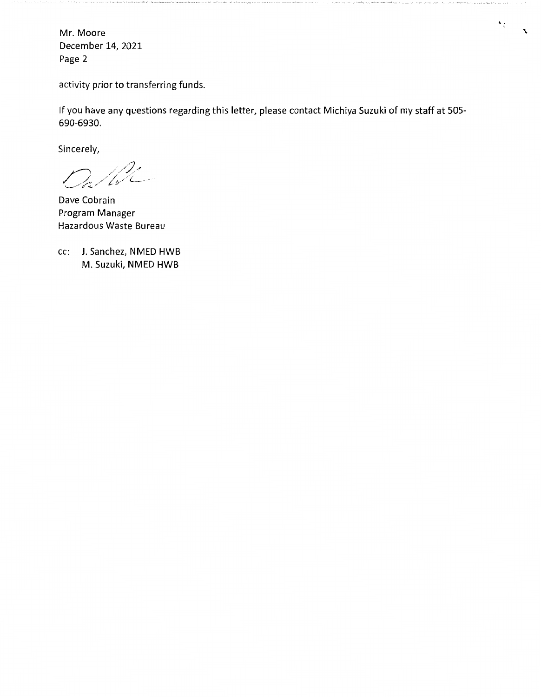Mr. Moore December 14, 2021 Page 2

activity prior to transferring funds.

If you have any questions regarding this letter, please contact Michiya Suzuki of my staff at 505- 690-6930.

 $\ddot{\cdot}$ 

 $\mathbf{r}$ 

Sincerely,

 $\partial_{\hat{a}}/\partial_{\hat{c}}^2$ 

Dave Cobrain Program Manager Hazardous Waste Bureau

cc: J. Sanchez, NMED HWB M. Suzuki, NMED HWB